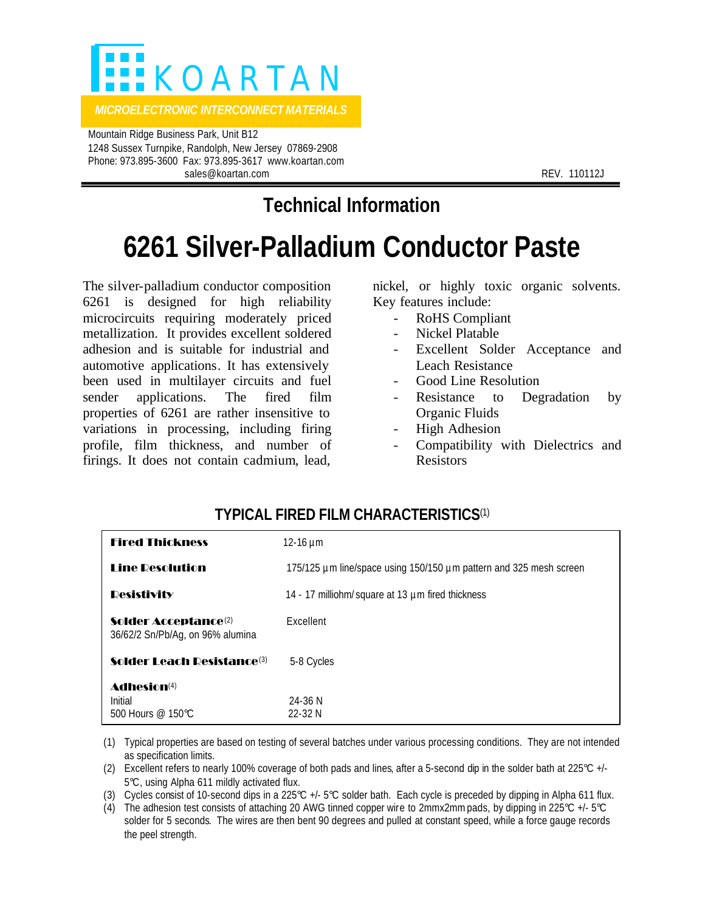

 Mountain Ridge Business Park, Unit B12 1248 Sussex Turnpike, Randolph, New Jersey 07869-2908 Phone: 973.895-3600 Fax: 973.895-3617 www.koartan.com sales@koartan.com **REV. 110112J** 

# **Technical Information**

# **6261 Silver-Palladium Conductor Paste**

The silver-palladium conductor composition 6261 is designed for high reliability microcircuits requiring moderately priced metallization. It provides excellent soldered adhesion and is suitable for industrial and automotive applications. It has extensively been used in multilayer circuits and fuel sender applications. The fired film properties of 6261 are rather insensitive to variations in processing, including firing profile, film thickness, and number of firings. It does not contain cadmium, lead,

nickel, or highly toxic organic solvents. Key features include:

- RoHS Compliant
- Nickel Platable
- Excellent Solder Acceptance and Leach Resistance
- Good Line Resolution
- Resistance to Degradation by Organic Fluids
- High Adhesion
- Compatibility with Dielectrics and Resistors

## **TYPICAL FIRED FILM CHARACTERISTICS**(1)

| <b>Fired Thickness</b>                                               | 12-16 $\mu$ m                                                      |
|----------------------------------------------------------------------|--------------------------------------------------------------------|
| <b>Line Resolution</b>                                               | 175/125 µm line/space using 150/150 µm pattern and 325 mesh screen |
| <b>Desistivity</b>                                                   | 14 - 17 milliohm/ square at 13 µm fired thickness                  |
| Solder Acceptance <sup>(2)</sup><br>36/62/2 Sn/Pb/Ag, on 96% alumina | Excellent                                                          |
| <b>Solder Leach Resistance</b> (3)                                   | 5-8 Cycles                                                         |
| Adhesion <sup>(4)</sup><br>Initial<br>500 Hours $@$ 150°C.           | $24 - 36$ N<br>$22 - 32N$                                          |

- (1) Typical properties are based on testing of several batches under various processing conditions. They are not intended as specification limits.
- (2) Excellent refers to nearly 100% coverage of both pads and lines, after a 5-second dip in the solder bath at 225°C +/- 5°C, using Alpha 611 mildly activated flux.
- (3) Cycles consist of 10-second dips in a 225°C +/- 5°C solder bath. Each cycle is preceded by dipping in Alpha 611 flux.
- (4) The adhesion test consists of attaching 20 AWG tinned copper wire to 2mmx2mm pads, by dipping in 225°C +/- 5°C solder for 5 seconds. The wires are then bent 90 degrees and pulled at constant speed, while a force gauge records the peel strength.